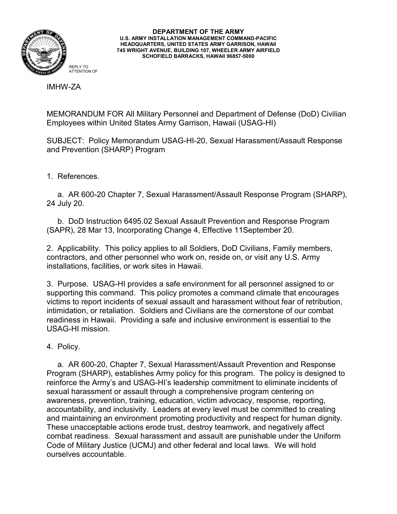

**DEPARTMENT OF THE ARMY U.S. ARMY INSTALLATION MANAGEMENT COMMAND-PACIFIC HEADQUARTERS, UNITED STATES ARMY GARRISON, HAWAII 745 WRIGHT AVENUE, BUILDING 107, WHEELER ARMY AIRFIELD SCHOFIELD BARRACKS, HAWAII 96857-5000**

IMHW-ZA

MEMORANDUM FOR All Military Personnel and Department of Defense (DoD) Civilian Employees within United States Army Garrison, Hawaii (USAG-HI)

SUBJECT: Policy Memorandum USAG-HI-20, Sexual Harassment/Assault Response and Prevention (SHARP) Program

1. References.

 a. AR 600-20 Chapter 7, Sexual Harassment/Assault Response Program (SHARP), 24 July 20.

 b. DoD Instruction 6495.02 Sexual Assault Prevention and Response Program (SAPR), 28 Mar 13, Incorporating Change 4, Effective 11September 20.

2. Applicability. This policy applies to all Soldiers, DoD Civilians, Family members, contractors, and other personnel who work on, reside on, or visit any U.S. Army installations, facilities, or work sites in Hawaii.

3. Purpose. USAG-HI provides a safe environment for all personnel assigned to or supporting this command. This policy promotes a command climate that encourages victims to report incidents of sexual assault and harassment without fear of retribution, intimidation, or retaliation. Soldiers and Civilians are the cornerstone of our combat readiness in Hawaii. Providing a safe and inclusive environment is essential to the USAG-HI mission.

4. Policy.

 a. AR 600-20, Chapter 7, Sexual Harassment/Assault Prevention and Response Program (SHARP), establishes Army policy for this program. The policy is designed to reinforce the Army's and USAG-HI's leadership commitment to eliminate incidents of sexual harassment or assault through a comprehensive program centering on awareness, prevention, training, education, victim advocacy, response, reporting, accountability, and inclusivity. Leaders at every level must be committed to creating and maintaining an environment promoting productivity and respect for human dignity. These unacceptable actions erode trust, destroy teamwork, and negatively affect combat readiness. Sexual harassment and assault are punishable under the Uniform Code of Military Justice (UCMJ) and other federal and local laws. We will hold ourselves accountable.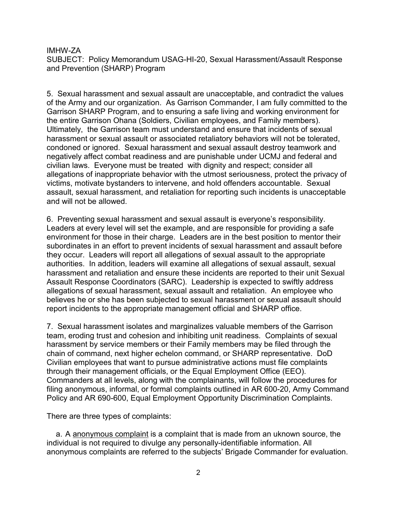SUBJECT: Policy Memorandum USAG-HI-20, Sexual Harassment/Assault Response and Prevention (SHARP) Program

5. Sexual harassment and sexual assault are unacceptable, and contradict the values of the Army and our organization. As Garrison Commander, I am fully committed to the Garrison SHARP Program, and to ensuring a safe living and working environment for the entire Garrison Ohana (Soldiers, Civilian employees, and Family members). Ultimately, the Garrison team must understand and ensure that incidents of sexual harassment or sexual assault or associated retaliatory behaviors will not be tolerated, condoned or ignored. Sexual harassment and sexual assault destroy teamwork and negatively affect combat readiness and are punishable under UCMJ and federal and civilian laws. Everyone must be treated with dignity and respect; consider all allegations of inappropriate behavior with the utmost seriousness, protect the privacy of victims, motivate bystanders to intervene, and hold offenders accountable. Sexual assault, sexual harassment, and retaliation for reporting such incidents is unacceptable and will not be allowed.

6. Preventing sexual harassment and sexual assault is everyone's responsibility. Leaders at every level will set the example, and are responsible for providing a safe environment for those in their charge. Leaders are in the best position to mentor their subordinates in an effort to prevent incidents of sexual harassment and assault before they occur. Leaders will report all allegations of sexual assault to the appropriate authorities. In addition, leaders will examine all allegations of sexual assault, sexual harassment and retaliation and ensure these incidents are reported to their unit Sexual Assault Response Coordinators (SARC). Leadership is expected to swiftly address allegations of sexual harassment, sexual assault and retaliation. An employee who believes he or she has been subjected to sexual harassment or sexual assault should report incidents to the appropriate management official and SHARP office.

7. Sexual harassment isolates and marginalizes valuable members of the Garrison team, eroding trust and cohesion and inhibiting unit readiness. Complaints of sexual harassment by service members or their Family members may be filed through the chain of command, next higher echelon command, or SHARP representative. DoD Civilian employees that want to pursue administrative actions must file complaints through their management officials, or the Equal Employment Office (EEO). Commanders at all levels, along with the complainants, will follow the procedures for filing anonymous, informal, or formal complaints outlined in AR 600-20, Army Command Policy and AR 690-600, Equal Employment Opportunity Discrimination Complaints.

There are three types of complaints:

a. A anonymous complaint is a complaint that is made from an uknown source, the individual is not required to divulge any personally-identifiable information. All anonymous complaints are referred to the subjects' Brigade Commander for evaluation.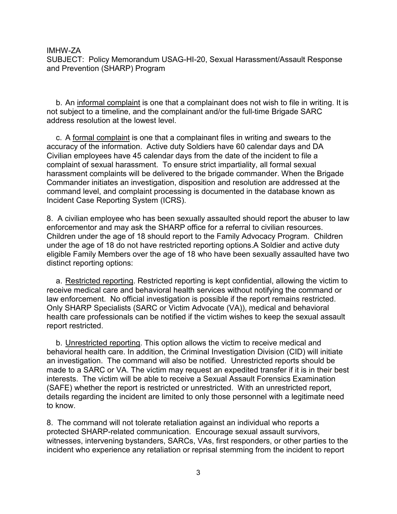SUBJECT: Policy Memorandum USAG-HI-20, Sexual Harassment/Assault Response and Prevention (SHARP) Program

b. An informal complaint is one that a complainant does not wish to file in writing. It is not subject to a timeline, and the complainant and/or the full-time Brigade SARC address resolution at the lowest level.

c. A formal complaint is one that a complainant files in writing and swears to the accuracy of the information. Active duty Soldiers have 60 calendar days and DA Civilian employees have 45 calendar days from the date of the incident to file a complaint of sexual harassment. To ensure strict impartiality, all formal sexual harassment complaints will be delivered to the brigade commander. When the Brigade Commander initiates an investigation, disposition and resolution are addressed at the command level, and complaint processing is documented in the database known as Incident Case Reporting System (ICRS).

8. A civilian employee who has been sexually assaulted should report the abuser to law enforcementor and may ask the SHARP office for a referral to civilian resources. Children under the age of 18 should report to the Family Advocacy Program. Children under the age of 18 do not have restricted reporting options.A Soldier and active duty eligible Family Members over the age of 18 who have been sexually assaulted have two distinct reporting options:

a. Restricted reporting. Restricted reporting is kept confidential, allowing the victim to receive medical care and behavioral health services without notifying the command or law enforcement. No official investigation is possible if the report remains restricted. Only SHARP Specialists (SARC or Victim Advocate (VA)), medical and behavioral health care professionals can be notified if the victim wishes to keep the sexual assault report restricted.

b. Unrestricted reporting. This option allows the victim to receive medical and behavioral health care. In addition, the Criminal Investigation Division (CID) will initiate an investigation. The command will also be notified. Unrestricted reports should be made to a SARC or VA. The victim may request an expedited transfer if it is in their best interests. The victim will be able to receive a Sexual Assault Forensics Examination (SAFE) whether the report is restricted or unrestricted. With an unrestricted report, details regarding the incident are limited to only those personnel with a legitimate need to know.

8. The command will not tolerate retaliation against an individual who reports a protected SHARP-related communication. Encourage sexual assault survivors, witnesses, intervening bystanders, SARCs, VAs, first responders, or other parties to the incident who experience any retaliation or reprisal stemming from the incident to report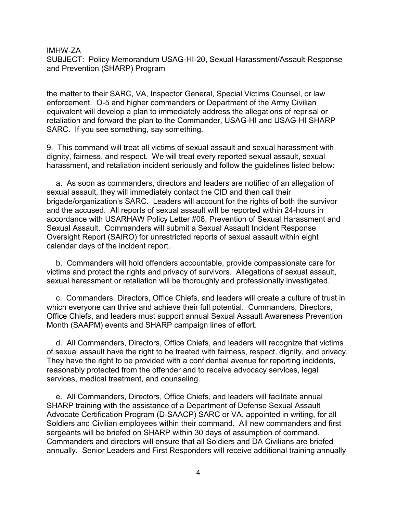SUBJECT: Policy Memorandum USAG-HI-20, Sexual Harassment/Assault Response and Prevention (SHARP) Program

the matter to their SARC, VA, Inspector General, Special Victims Counsel, or law enforcement. O-5 and higher commanders or Department of the Army Civilian equivalent will develop a plan to immediately address the allegations of reprisal or retaliation and forward the plan to the Commander, USAG-HI and USAG-HI SHARP SARC. If you see something, say something.

9. This command will treat all victims of sexual assault and sexual harassment with dignity, fairness, and respect. We will treat every reported sexual assault, sexual harassment, and retaliation incident seriously and follow the guidelines listed below:

a. As soon as commanders, directors and leaders are notified of an allegation of sexual assault, they will immediately contact the CID and then call their brigade/organization's SARC. Leaders will account for the rights of both the survivor and the accused. All reports of sexual assault will be reported within 24-hours in accordance with USARHAW Policy Letter #08, Prevention of Sexual Harassment and Sexual Assault. Commanders will submit a Sexual Assault Incident Response Oversight Report (SAIRO) for unrestricted reports of sexual assault within eight calendar days of the incident report.

b. Commanders will hold offenders accountable, provide compassionate care for victims and protect the rights and privacy of survivors. Allegations of sexual assault, sexual harassment or retaliation will be thoroughly and professionally investigated.

c. Commanders, Directors, Office Chiefs, and leaders will create a culture of trust in which everyone can thrive and achieve their full potential. Commanders, Directors, Office Chiefs, and leaders must support annual Sexual Assault Awareness Prevention Month (SAAPM) events and SHARP campaign lines of effort.

d. All Commanders, Directors, Office Chiefs, and leaders will recognize that victims of sexual assault have the right to be treated with fairness, respect, dignity, and privacy. They have the right to be provided with a confidential avenue for reporting incidents, reasonably protected from the offender and to receive advocacy services, legal services, medical treatment, and counseling.

e. All Commanders, Directors, Office Chiefs, and leaders will facilitate annual SHARP training with the assistance of a Department of Defense Sexual Assault Advocate Certification Program (D-SAACP) SARC or VA, appointed in writing, for all Soldiers and Civilian employees within their command. All new commanders and first sergeants will be briefed on SHARP within 30 days of assumption of command. Commanders and directors will ensure that all Soldiers and DA Civilians are briefed annually. Senior Leaders and First Responders will receive additional training annually